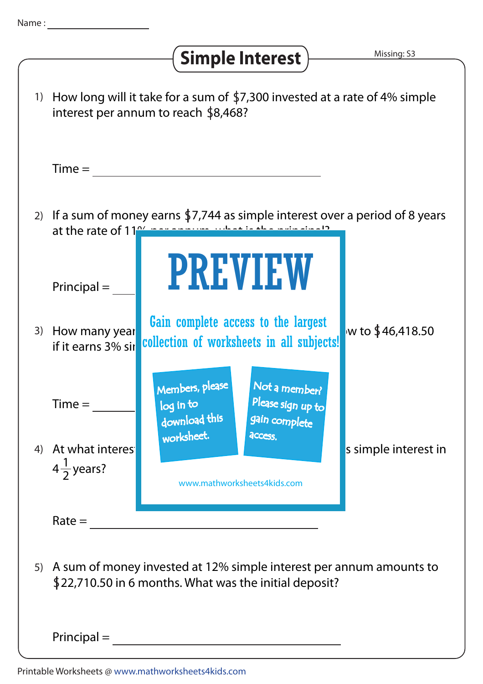## Simple Interest > Missing: S3

|    | 1) How long will it take for a sum of \$7,300 invested at a rate of 4% simple<br>interest per annum to reach \$8,468?                                 |                                                                                                                               |
|----|-------------------------------------------------------------------------------------------------------------------------------------------------------|-------------------------------------------------------------------------------------------------------------------------------|
|    | $Time =$                                                                                                                                              |                                                                                                                               |
|    | 2) If a sum of money earns \$7,744 as simple interest over a period of 8 years<br>at the rate of 11 <sup>04</sup> in a series what is the individual? |                                                                                                                               |
|    | $Principal =$                                                                                                                                         | <b>PREVIEW</b>                                                                                                                |
| 3) | How many year<br>if it earns 3% sir                                                                                                                   | Gain complete access to the largest<br>w to \$46,418.50<br>collection of worksheets in all subjects!                          |
|    | $Time =$                                                                                                                                              | Members, please<br>Not a member?<br>Please sign up to<br>$\overline{\log}$ in to<br>download this<br>gain complete            |
| 4) | At what interes<br>$4\frac{1}{2}$ years?                                                                                                              | worksheet.<br><b>access</b><br>s simple interest in<br>www.mathworksheets4kids.com                                            |
|    | $Rate =$                                                                                                                                              |                                                                                                                               |
| 5) |                                                                                                                                                       | A sum of money invested at 12% simple interest per annum amounts to<br>\$22,710.50 in 6 months. What was the initial deposit? |
|    | $Principal =$                                                                                                                                         |                                                                                                                               |